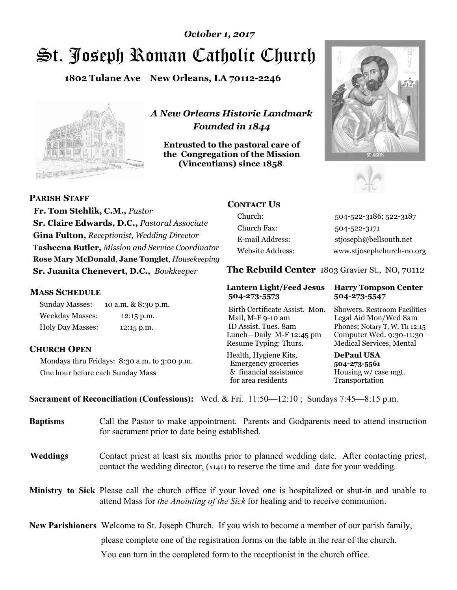# St. Joseph Roman Catholic Church *October 1, 2017*

**1802 Tulane Ave New Orleans, LA 70112-2246**



*A New Orleans Historic Landmark Founded in 1844* 

**Entrusted to the pastoral care of the Congregation of the Mission (Vincentians) since 1858**.





**PARISH STAFF**

 **Fr. Tom Stehlik, C.M.,** *Pastor* **Sr. Claire Edwards, D.C.,** *Pastoral Associate* **Gina Fulton,** *Receptionist, Wedding Director* **Tasheena Butler,** *Mission and Service Coordinator* **Rose Mary McDonald**, **Jane Tonglet**, *Housekeeping* **Sr. Juanita Chenevert, D.C.,** *Bookkeeper* 

### **MASS SCHEDULE**

Sunday Masses: 10 a.m. & 8:30 p.m. Weekday Masses: 12:15 p.m. Holy Day Masses: 12:15 p.m.

## **CHURCH OPEN**

Mondays thru Fridays: 8:30 a.m. to 3:00 p.m. One hour before each Sunday Mass

# **CONTACT US**

Church: 504-522-3186; 522-3187 Church Fax: 504-522-3171 E-mail Address: stjoseph@bellsouth.net Website Address: www.stjosephchurch-no.org

**The Rebuild Center** 1803 Gravier St., NO, 70112

#### **Lantern Light/Feed Jesus Harry Tompson Center 504-273-5573 504-273-5547**

Birth Certificate Assist. Mon. Showers, Restroom Facilities Mail, M-F 9-10 am Legal Aid Mon/Wed 8am ID Assist. Tues. 8am Phones; Notary T, W, Th 12:15 Lunch—Daily M-F 12:45 pm Computer Wed. 9:30-11:30 Resume Typing: Thurs. Medical Services, Mental

Health, Hygiene Kits, **DePaul USA**  Emergency groceries **504-273-5561** & financial assistance Housing w/ case mgt. for area residents Transportation

**Sacrament of Reconciliation (Confessions):** Wed. & Fri. 11:50—12:10 ; Sundays 7:45—8:15 p.m.

| <b>Baptisms</b> | Call the Pastor to make appointment. Parents and Godparents need to attend instruction<br>for sacrament prior to date being established.                                                                   |
|-----------------|------------------------------------------------------------------------------------------------------------------------------------------------------------------------------------------------------------|
| <b>Weddings</b> | Contact priest at least six months prior to planned wedding date. After contacting priest,<br>contact the wedding director, (x141) to reserve the time and date for your wedding.                          |
|                 | <b>Ministry to Sick</b> Please call the church office if your loved one is hospitalized or shut-in and unable to<br>attend Mass for <i>the Anointing of the Sick</i> for healing and to receive communion. |
|                 | <b>New Parishioners</b> Welcome to St. Joseph Church. If you wish to become a member of our parish family,                                                                                                 |
|                 | please complete one of the registration forms on the table in the rear of the church.                                                                                                                      |
|                 | You can turn in the completed form to the reception is the church office.                                                                                                                                  |